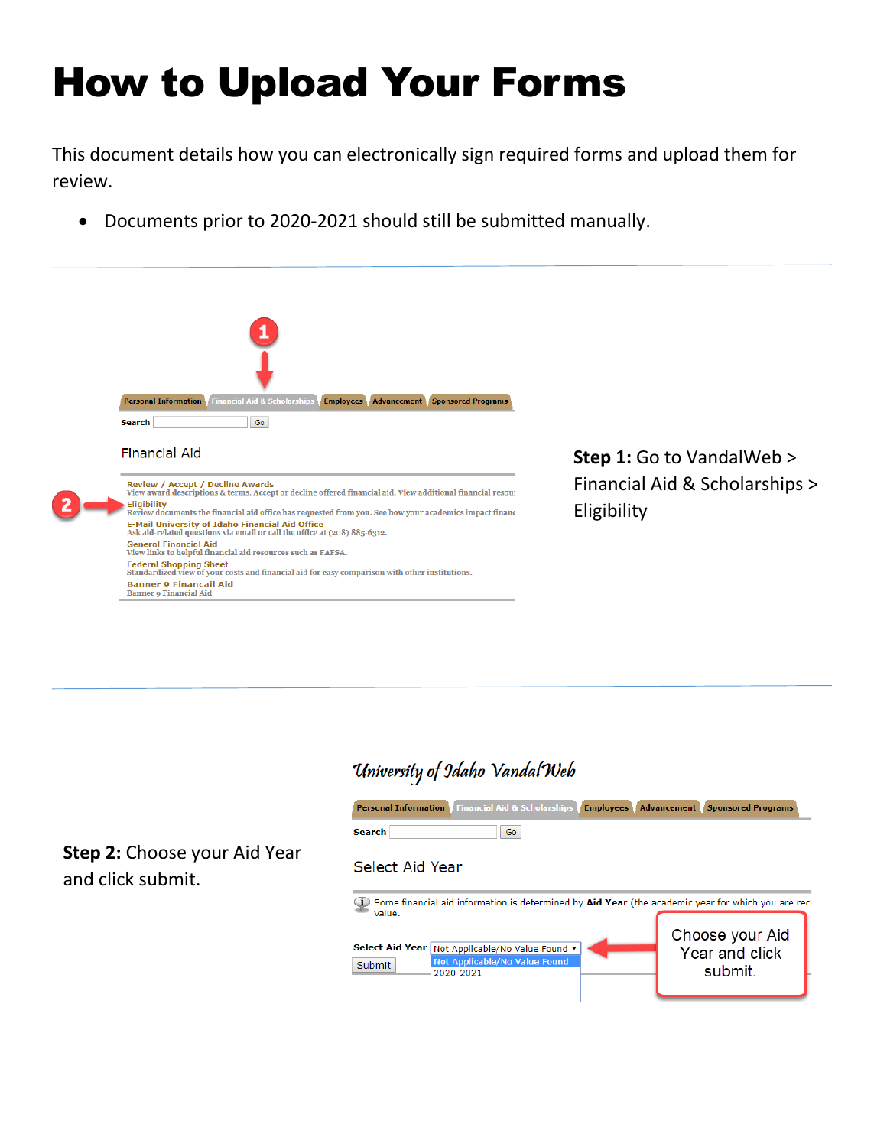# How to Upload Your Forms

This document details how you can electronically sign required forms and upload them for review.

• Documents prior to 2020-2021 should still be submitted manually.



# University of Idaho Vandal Web



**Step 2:** Choose your Aid Year and click submit.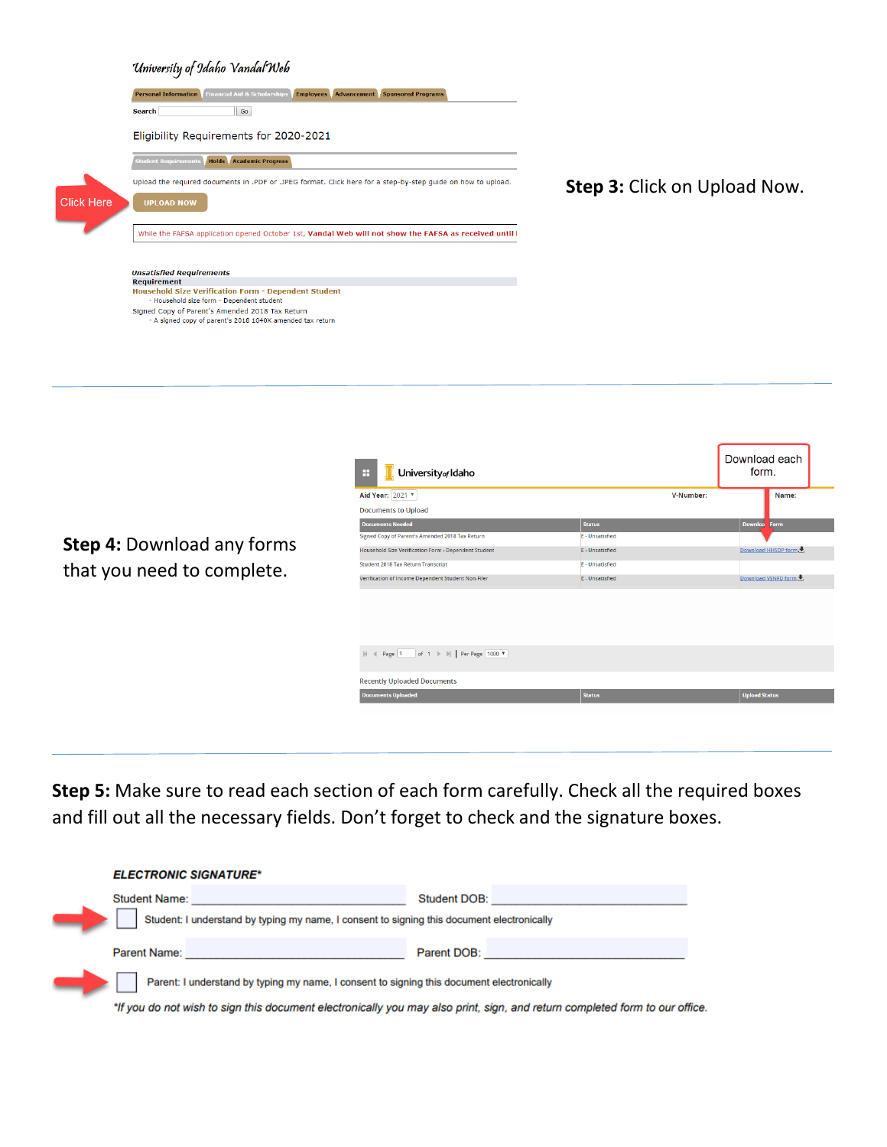|                   | University of Idaho Vandal Web                                                                               |                                     |
|-------------------|--------------------------------------------------------------------------------------------------------------|-------------------------------------|
|                   | <b>Personal Information</b> Financial Aid & Scholarships <b>Employees</b> Advancement Sponsored Programs     |                                     |
|                   | Go<br><b>Search</b>                                                                                          |                                     |
|                   | Eligibility Requirements for 2020-2021                                                                       |                                     |
|                   | <b>Student Requirements</b><br>Holds Academic Progress                                                       |                                     |
|                   | Upload the required documents in .PDF or .JPEG format. Click here for a step-by-step guide on how to upload. | <b>Step 3: Click on Upload Now.</b> |
| <b>Click Here</b> | <b>UPLOAD NOW</b>                                                                                            |                                     |
|                   | While the FAFSA application opened October 1st, Vandal Web will not show the FAFSA as received until I       |                                     |
|                   |                                                                                                              |                                     |
|                   | <b>Unsatisfied Requirements</b>                                                                              |                                     |
|                   | <b>Requirement</b>                                                                                           |                                     |
|                   | <b>Household Size Verification Form - Dependent Student</b>                                                  |                                     |
|                   | - Household size form - Dependent student                                                                    |                                     |
|                   | Signed Copy of Parent's Amended 2018 Tax Return<br>- A signed copy of parent's 2018 1040X amended tax return |                                     |
|                   |                                                                                                              |                                     |
|                   |                                                                                                              |                                     |
|                   |                                                                                                              |                                     |
|                   |                                                                                                              |                                     |
|                   |                                                                                                              |                                     |

|                                   | University <sub>of</sub> Idaho<br>H                  |                 | Download each<br>form. |
|-----------------------------------|------------------------------------------------------|-----------------|------------------------|
|                                   | Aid Year: 2021 v                                     |                 | V-Number:<br>Name:     |
|                                   | <b>Documents to Upload</b>                           |                 |                        |
|                                   | <b>Documents Needed</b>                              | <b>Status</b>   | <b>Downloa</b><br>Form |
|                                   | Signed Copy of Parent's Amended 2018 Tax Return      | E - Unsatisfied |                        |
| <b>Step 4: Download any forms</b> | Household Size Verification Form - Dependent Student | E - Unsatisfied | Download HHSDP form    |
|                                   | Student 2018 Tax Return Transcript                   | E - Unsatisfied |                        |
| that you need to complete.        | Verification of Income Dependent Student Non-Filer   | E - Unsatisfied | Download VSNFD form    |
|                                   |                                                      |                 |                        |
|                                   | <b>Recently Uploaded Documents</b>                   |                 |                        |
|                                   | <b>Documents Uploaded</b>                            | <b>Status</b>   | <b>Upload Status</b>   |
|                                   |                                                      |                 |                        |

**Step 5:** Make sure to read each section of each form carefully. Check all the required boxes and fill out all the necessary fields. Don't forget to check and the signature boxes.

| <b>ELECTRONIC SIGNATURE*</b>                                                                                                |              |  |
|-----------------------------------------------------------------------------------------------------------------------------|--------------|--|
| <b>Student Name:</b>                                                                                                        | Student DOB: |  |
| Student: I understand by typing my name, I consent to signing this document electronically                                  |              |  |
| Parent Name:                                                                                                                | Parent DOB:  |  |
| Parent: I understand by typing my name, I consent to signing this document electronically                                   |              |  |
| *If you do not wish to sign this document electronically you may also print, sign, and return completed form to our office. |              |  |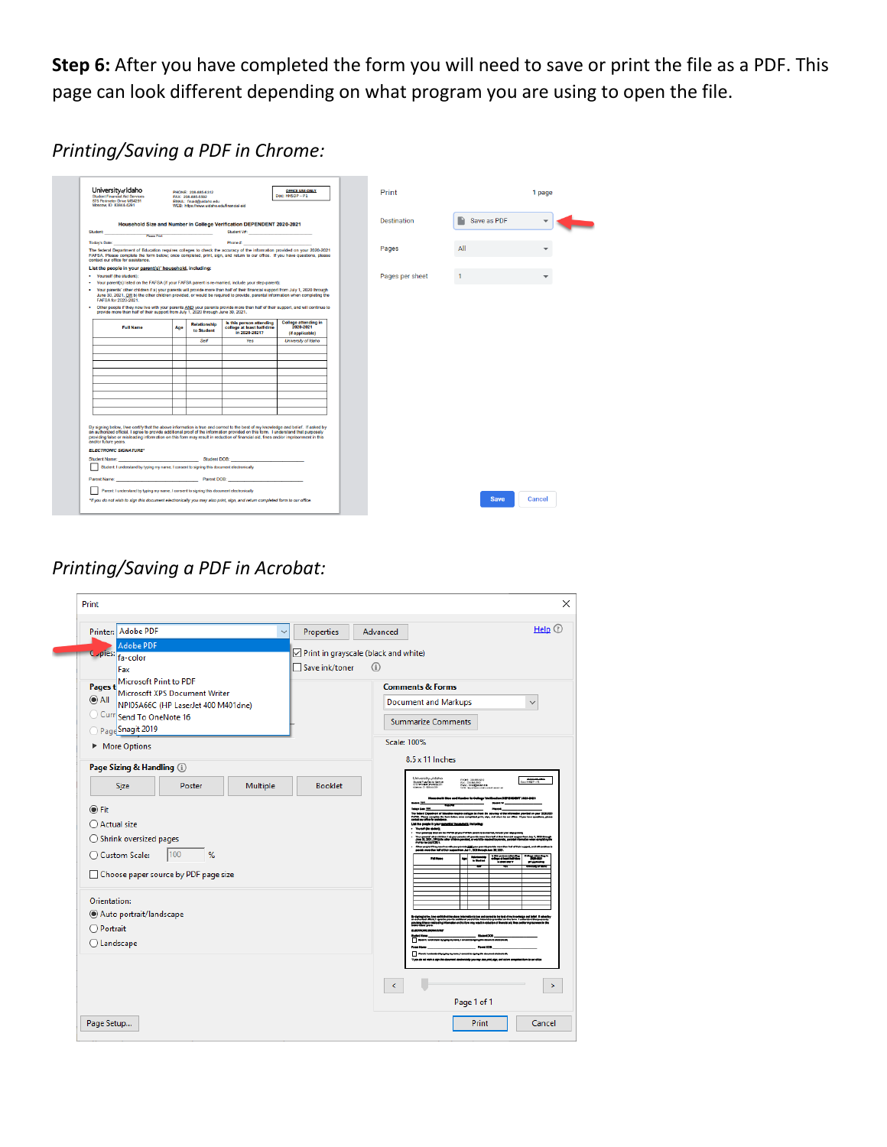**Step 6:** After you have completed the form you will need to save or print the file as a PDF. This page can look different depending on what program you are using to open the file.

### *Printing/Saving a PDF in Chrome:*

| University of Idaho<br>Student Financial Aid Services<br>875 Perimeter Drive MS4291<br>Moscow, ID 83844-4291                                                                                                                                                                                                                                                                                                                         |     | PHONE: 208-885-6312<br>FAX: 208-885-5592<br>EMAIL: finald@uidaho.edu |                                                                                                      | <b>OFFICE USE ONLY</b><br>Doc: HHSDP-P1  | Print           |             | 1 page |
|--------------------------------------------------------------------------------------------------------------------------------------------------------------------------------------------------------------------------------------------------------------------------------------------------------------------------------------------------------------------------------------------------------------------------------------|-----|----------------------------------------------------------------------|------------------------------------------------------------------------------------------------------|------------------------------------------|-----------------|-------------|--------|
|                                                                                                                                                                                                                                                                                                                                                                                                                                      |     | WEB: https://www.uidaho.edufinancial-aid                             |                                                                                                      |                                          |                 |             |        |
|                                                                                                                                                                                                                                                                                                                                                                                                                                      |     |                                                                      | Household Size and Number in College Verification DEPENDENT 2020-2021                                |                                          | Destination     | Save as PDF |        |
|                                                                                                                                                                                                                                                                                                                                                                                                                                      |     |                                                                      | Student V#:                                                                                          |                                          |                 |             |        |
| Student:<br><b>Please Print</b>                                                                                                                                                                                                                                                                                                                                                                                                      |     |                                                                      |                                                                                                      |                                          |                 |             |        |
| Today's Date:                                                                                                                                                                                                                                                                                                                                                                                                                        |     |                                                                      | Phone #: Phone #: Phone #: Phone #: Phone #: Phone #: Phone #: Phone #: Phone #: Phone #: Phone #: P |                                          |                 |             |        |
| The federal Department of Education requires colleges to check the accuracy of the information provided on your 2020-2021<br>FAFSA. Please complete the form below: once completed, print, sign, and return to our office. If you have questions, please<br>contact our office for assistance.                                                                                                                                       |     |                                                                      |                                                                                                      |                                          | Pages           | All         |        |
| List the people in your parent(s)' household, including:                                                                                                                                                                                                                                                                                                                                                                             |     |                                                                      |                                                                                                      |                                          |                 |             |        |
| · Yourself (the student):                                                                                                                                                                                                                                                                                                                                                                                                            |     |                                                                      |                                                                                                      |                                          | Pages per sheet |             |        |
| · Your parent(s) listed on the FAFSA (if your FAFSA parent is re-married, include your step-parent);                                                                                                                                                                                                                                                                                                                                 |     |                                                                      |                                                                                                      |                                          |                 |             |        |
| . Your parents' other children if a) your parents will provide more than half of their financial support from July 1, 2020 through<br>June 30, 2021, OR b) the other children provided, or would be required to provide, parental information when completing the<br>FAFSA for 2020-2021.                                                                                                                                            |     |                                                                      |                                                                                                      |                                          |                 |             |        |
| . Other people if they now live with your parents AND your parents provide more than half of their support, and will continue to<br>provide more than half of their support from July 1, 2020 through June 30, 2021.                                                                                                                                                                                                                 |     |                                                                      |                                                                                                      |                                          |                 |             |        |
| <b>Full Name</b>                                                                                                                                                                                                                                                                                                                                                                                                                     | Age | <b>Relationship</b><br>to Student                                    | Is this person attending<br>college at least half-time<br>in 2020-2021?                              | <b>College attending in</b><br>2020-2021 |                 |             |        |
|                                                                                                                                                                                                                                                                                                                                                                                                                                      |     |                                                                      |                                                                                                      | (if applicable)                          |                 |             |        |
|                                                                                                                                                                                                                                                                                                                                                                                                                                      |     | Self                                                                 | <b>Yes</b>                                                                                           | University of Idaho                      |                 |             |        |
|                                                                                                                                                                                                                                                                                                                                                                                                                                      |     |                                                                      |                                                                                                      |                                          |                 |             |        |
|                                                                                                                                                                                                                                                                                                                                                                                                                                      |     |                                                                      |                                                                                                      |                                          |                 |             |        |
|                                                                                                                                                                                                                                                                                                                                                                                                                                      |     |                                                                      |                                                                                                      |                                          |                 |             |        |
|                                                                                                                                                                                                                                                                                                                                                                                                                                      |     |                                                                      |                                                                                                      |                                          |                 |             |        |
|                                                                                                                                                                                                                                                                                                                                                                                                                                      |     |                                                                      |                                                                                                      |                                          |                 |             |        |
|                                                                                                                                                                                                                                                                                                                                                                                                                                      |     |                                                                      |                                                                                                      |                                          |                 |             |        |
|                                                                                                                                                                                                                                                                                                                                                                                                                                      |     |                                                                      |                                                                                                      |                                          |                 |             |        |
|                                                                                                                                                                                                                                                                                                                                                                                                                                      |     |                                                                      |                                                                                                      |                                          |                 |             |        |
|                                                                                                                                                                                                                                                                                                                                                                                                                                      |     |                                                                      |                                                                                                      |                                          |                 |             |        |
|                                                                                                                                                                                                                                                                                                                                                                                                                                      |     |                                                                      |                                                                                                      |                                          |                 |             |        |
|                                                                                                                                                                                                                                                                                                                                                                                                                                      |     |                                                                      |                                                                                                      |                                          |                 |             |        |
| By signing below, live certify that the above information is true and correct to the best of my knowledge and belief. If asked by<br>an authorized official, I agree to provide additional proof of the information provided on this form. I understand that purposely<br>providing false or misleading information on this form may result in reduction of financial aid, fines and/or imprisonment in this<br>and/or future years. |     |                                                                      |                                                                                                      |                                          |                 |             |        |
| <b>ELECTRONIC SIGNATURE*</b>                                                                                                                                                                                                                                                                                                                                                                                                         |     |                                                                      |                                                                                                      |                                          |                 |             |        |
| Student Name: Contract of the Student DOB: Contract of the Student DOB:                                                                                                                                                                                                                                                                                                                                                              |     |                                                                      |                                                                                                      |                                          |                 |             |        |
| Student: I understand by typing my name, I consent to signing this document electronically                                                                                                                                                                                                                                                                                                                                           |     |                                                                      |                                                                                                      |                                          |                 |             |        |
| Parent Name: Example 2008: Parent DOB:                                                                                                                                                                                                                                                                                                                                                                                               |     |                                                                      |                                                                                                      |                                          |                 |             |        |
| Parent: I understand by typing my name, I consent to signing this document electronically                                                                                                                                                                                                                                                                                                                                            |     |                                                                      |                                                                                                      |                                          |                 |             |        |
| *If you do not wish to sign this document electronically you may also print, sign, and return completed form to our office.                                                                                                                                                                                                                                                                                                          |     |                                                                      |                                                                                                      |                                          |                 | <b>Save</b> | Cancel |

## *Printing/Saving a PDF in Acrobat:*

|                      | Printer: Adobe PDF                |                                      | $\overline{\phantom{a}}$ | Properties                           | Advanced   | $HeIp$ $@$                                                                     |
|----------------------|-----------------------------------|--------------------------------------|--------------------------|--------------------------------------|------------|--------------------------------------------------------------------------------|
| C <sub>-pies</sub> : | <b>Adobe PDF</b>                  |                                      |                          | Print in grayscale (black and white) |            |                                                                                |
|                      | fa-color<br>Fax                   |                                      |                          | □ Save ink/toner                     | $\bigcirc$ |                                                                                |
| Pages t              | Microsoft Print to PDF            |                                      |                          |                                      |            | <b>Comments &amp; Forms</b>                                                    |
| $\odot$ All          |                                   | Microsoft XPS Document Writer        |                          |                                      |            | <b>Document and Markups</b><br>$\checkmark$                                    |
|                      | Curr Send To OneNote 16           | NPI05A66C (HP LaserJet 400 M401dne)  |                          |                                      |            |                                                                                |
|                      | Page Snagit 2019                  |                                      |                          |                                      |            | <b>Summarize Comments</b>                                                      |
|                      | More Options                      |                                      |                          |                                      |            | Scale: 100%                                                                    |
|                      | Page Sizing & Handling (i)        |                                      |                          |                                      |            | 8.5 x 11 Inches                                                                |
|                      |                                   |                                      |                          |                                      |            | University/Idaho<br><b>DESCRIPTIONS</b><br>NOW, SEAMAGE<br>Bureau Program Bara |
|                      | Size                              | Poster                               | Multiple                 | <b>Booklet</b>                       |            | <b>INDIANA</b>                                                                 |
| $①$ Fit              |                                   |                                      |                          |                                      |            |                                                                                |
| ○ Actual size        |                                   |                                      |                          |                                      |            |                                                                                |
|                      | $\bigcirc$ Shrink oversized pages |                                      |                          |                                      |            | a abo chides il ajgere<br>na bil 3000. Colui<br>Pilo bir 2005. Sila            |
|                      | ○ Custom Scale:                   | 100<br>%                             |                          |                                      |            | $-10.87$<br>÷<br><b>DOM:</b><br>----                                           |
|                      |                                   | Choose paper source by PDF page size |                          |                                      |            |                                                                                |
|                      |                                   |                                      |                          |                                      |            |                                                                                |
| Orientation:         |                                   |                                      |                          |                                      |            |                                                                                |
|                      | Auto portrait/landscape           |                                      |                          |                                      |            |                                                                                |
| O Portrait           |                                   |                                      |                          |                                      |            |                                                                                |
| $\bigcirc$ Landscape |                                   |                                      |                          |                                      |            |                                                                                |
|                      |                                   |                                      |                          |                                      |            |                                                                                |
|                      |                                   |                                      |                          |                                      |            | ≺                                                                              |
|                      |                                   |                                      |                          |                                      |            |                                                                                |